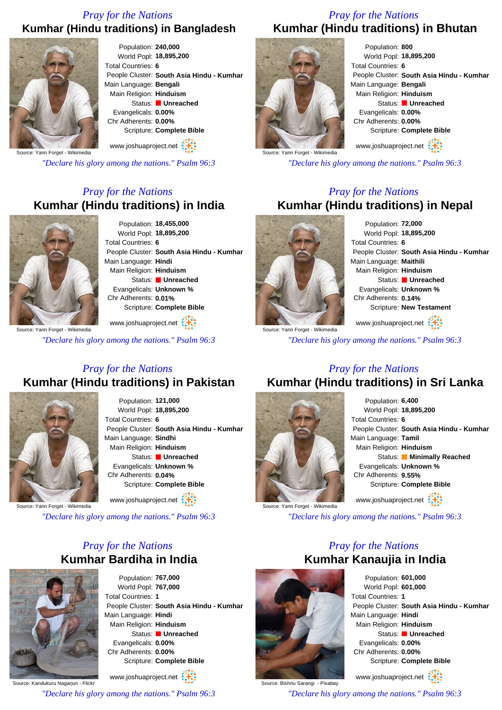### *Pray for the Nations* **Kumhar (Hindu traditions) in Bangladesh**



Population: **240,000** World Popl: **18,895,200** Total Countries: **6** People Cluster: **South Asia Hindu - Kumhar** Main Language: **Bengali** Main Religion: **Hinduism** Status: **Unreached** Evangelicals: **0.00%** Chr Adherents: **0.00%** Scripture: **Complete Bible**

Source: Yann Forget - Wikimedia

*"Declare his glory among the nations." Psalm 96:3*

www.joshuaproject.net

# *Pray for the Nations* **Kumhar (Hindu traditions) in India**



Population: **18,455,000** World Popl: **18,895,200** Total Countries: **6** People Cluster: **South Asia Hindu - Kumhar** Main Language: **Hindi** Main Religion: **Hinduism** Status: **Unreached** Evangelicals: **Unknown %** Chr Adherents: **0.01%** Scripture: **Complete Bible**

ource: Yann Forget - Wikimedia www.joshuaproject.net

*"Declare his glory among the nations." Psalm 96:3*

## *Pray for the Nations* **Kumhar (Hindu traditions) in Bhutan**



Population: **800** World Popl: **18,895,200** Total Countries: **6** People Cluster: **South Asia Hindu - Kumhar** Main Language: **Bengali** Main Religion: **Hinduism** Status: **Unreached** Evangelicals: **0.00%** Chr Adherents: **0.00%** Scripture: **Complete Bible** www.joshuaproject.net

*"Declare his glory among the nations." Psalm 96:3*

## *Pray for the Nations* **Kumhar (Hindu traditions) in Nepal**



Population: **72,000** World Popl: **18,895,200** Total Countries: **6** People Cluster: **South Asia Hindu - Kumhar** Main Language: **Maithili** Main Religion: **Hinduism** Status: **Unreached** Evangelicals: **Unknown %** Chr Adherents: **0.14%** Scripture: **New Testament** www.joshuaproject.net

Source: Yann Forget - Wikimedia

*"Declare his glory among the nations." Psalm 96:3*

# *Pray for the Nations* **Kumhar (Hindu traditions) in Pakistan**



Population: **121,000** World Popl: **18,895,200** Total Countries: **6** People Cluster: **South Asia Hindu - Kumhar** Main Language: **Sindhi** Main Religion: **Hinduism** Status: **Unreached** Evangelicals: **Unknown %** Chr Adherents: **0.04%** Scripture: **Complete Bible** www.joshuaproject.net

Source: Yann Forget - Wikimedia

*"Declare his glory among the nations." Psalm 96:3*

## *Pray for the Nations* **Kumhar Bardiha in India**



Population: **767,000** World Popl: **767,000** Total Countries: **1** People Cluster: **South Asia Hindu - Kumhar** Main Language: **Hindi** Main Religion: **Hinduism** Status: **Unreached** Evangelicals: **0.00%** Chr Adherents: **0.00%** Scripture: **Complete Bible**

Source: Kandukuru Nagarjun - Flickr www.joshuaproject.net

*"Declare his glory among the nations." Psalm 96:3*

# *Pray for the Nations* **Kumhar (Hindu traditions) in Sri Lanka**



Population: **6,400** World Popl: **18,895,200** Total Countries: **6** People Cluster: **South Asia Hindu - Kumhar** Main Language: **Tamil** Main Religion: **Hinduism** Status: **Minimally Reached** Evangelicals: **Unknown %** Chr Adherents: **9.55%** Scripture: **Complete Bible** www.joshuaproject.net

*"Declare his glory among the nations." Psalm 96:3*

# *Pray for the Nations* **Kumhar Kanaujia in India**



Source: Bishnu Sarangi - Pixabay

Population: **601,000** World Popl: **601,000** Total Countries: **1** People Cluster: **South Asia Hindu - Kumhar** Main Language: **Hindi** Main Religion: **Hinduism** Status: **Unreached** Evangelicals: **0.00%** Chr Adherents: **0.00%** Scripture: **Complete Bible**

www.joshuaproject.net

*"Declare his glory among the nations." Psalm 96:3*